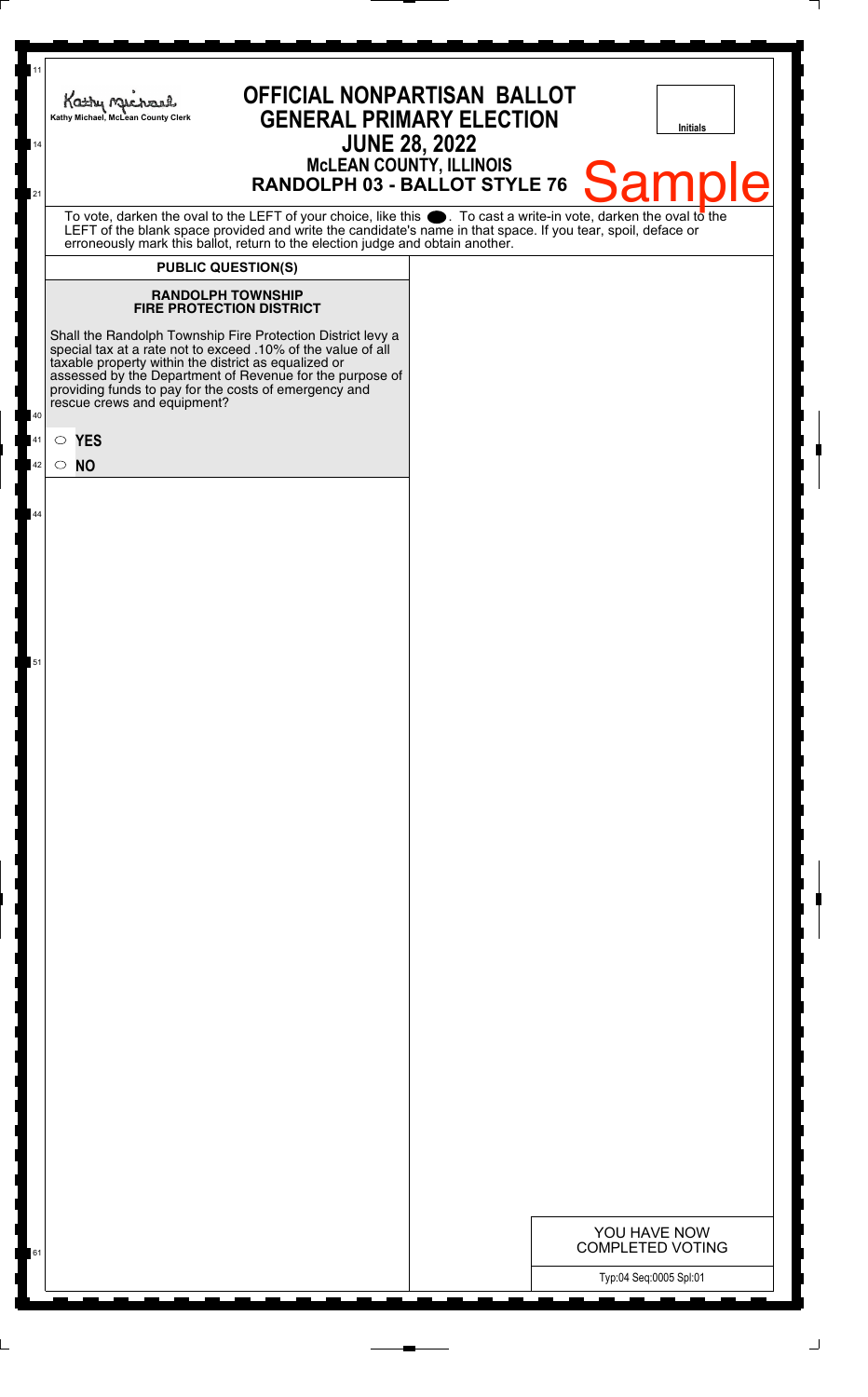| 11<br>14    | Kathy Michael<br>Kathy Michael, McLean County Clerk | <b>OFFICIAL NONPARTISAN BALLOT</b><br><b>GENERAL PRIMARY ELECTION</b>                                                                                                                                                                                                                                                                   | <b>JUNE 28, 2022</b><br><b>MCLEAN COUNTY, ILLINOIS</b> | <b>Initials</b>                         |
|-------------|-----------------------------------------------------|-----------------------------------------------------------------------------------------------------------------------------------------------------------------------------------------------------------------------------------------------------------------------------------------------------------------------------------------|--------------------------------------------------------|-----------------------------------------|
|             |                                                     | RANDOLPH 03 - BALLOT STYLE 76                                                                                                                                                                                                                                                                                                           |                                                        | <b>Sampl</b><br>Ie                      |
|             |                                                     | To vote, darken the oval to the LEFT of your choice, like this $\bullet$ . To cast a write-in vote, darken the oval to the<br>LEFT of the blank space provided and write the candidate's name in that space. If you tear, spoil, deface or<br>erroneously mark this ballot, return to the election judge and obtain another.            |                                                        |                                         |
|             |                                                     | <b>PUBLIC QUESTION(S)</b>                                                                                                                                                                                                                                                                                                               |                                                        |                                         |
|             |                                                     | <b>RANDOLPH TOWNSHIP</b><br><b>FIRE PROTECTION DISTRICT</b>                                                                                                                                                                                                                                                                             |                                                        |                                         |
|             |                                                     | Shall the Randolph Township Fire Protection District levy a<br>special tax at a rate not to exceed .10% of the value of all<br>taxable property within the district as equalized or<br>assessed by the Department of Revenue for the purpose of<br>providing funds to pay for the costs of emergency and<br>rescue crews and equipment? |                                                        |                                         |
| $\circ$ YES |                                                     |                                                                                                                                                                                                                                                                                                                                         |                                                        |                                         |
| $\circ$ NO  |                                                     |                                                                                                                                                                                                                                                                                                                                         |                                                        |                                         |
|             |                                                     |                                                                                                                                                                                                                                                                                                                                         |                                                        |                                         |
|             |                                                     |                                                                                                                                                                                                                                                                                                                                         |                                                        |                                         |
|             |                                                     |                                                                                                                                                                                                                                                                                                                                         |                                                        |                                         |
|             |                                                     |                                                                                                                                                                                                                                                                                                                                         |                                                        |                                         |
|             |                                                     |                                                                                                                                                                                                                                                                                                                                         |                                                        |                                         |
|             |                                                     |                                                                                                                                                                                                                                                                                                                                         |                                                        |                                         |
|             |                                                     |                                                                                                                                                                                                                                                                                                                                         |                                                        |                                         |
|             |                                                     |                                                                                                                                                                                                                                                                                                                                         |                                                        |                                         |
|             |                                                     |                                                                                                                                                                                                                                                                                                                                         |                                                        |                                         |
|             |                                                     |                                                                                                                                                                                                                                                                                                                                         |                                                        |                                         |
|             |                                                     |                                                                                                                                                                                                                                                                                                                                         |                                                        |                                         |
|             |                                                     |                                                                                                                                                                                                                                                                                                                                         |                                                        |                                         |
|             |                                                     |                                                                                                                                                                                                                                                                                                                                         |                                                        |                                         |
|             |                                                     |                                                                                                                                                                                                                                                                                                                                         |                                                        |                                         |
|             |                                                     |                                                                                                                                                                                                                                                                                                                                         |                                                        |                                         |
|             |                                                     |                                                                                                                                                                                                                                                                                                                                         |                                                        |                                         |
|             |                                                     |                                                                                                                                                                                                                                                                                                                                         |                                                        |                                         |
|             |                                                     |                                                                                                                                                                                                                                                                                                                                         |                                                        |                                         |
|             |                                                     |                                                                                                                                                                                                                                                                                                                                         |                                                        |                                         |
|             |                                                     |                                                                                                                                                                                                                                                                                                                                         |                                                        |                                         |
|             |                                                     |                                                                                                                                                                                                                                                                                                                                         |                                                        |                                         |
|             |                                                     |                                                                                                                                                                                                                                                                                                                                         |                                                        |                                         |
|             |                                                     |                                                                                                                                                                                                                                                                                                                                         |                                                        |                                         |
| 61          |                                                     |                                                                                                                                                                                                                                                                                                                                         |                                                        | YOU HAVE NOW<br><b>COMPLETED VOTING</b> |
|             |                                                     |                                                                                                                                                                                                                                                                                                                                         |                                                        | Typ:04 Seq:0005 Spl:01                  |

┆

 $\perp$